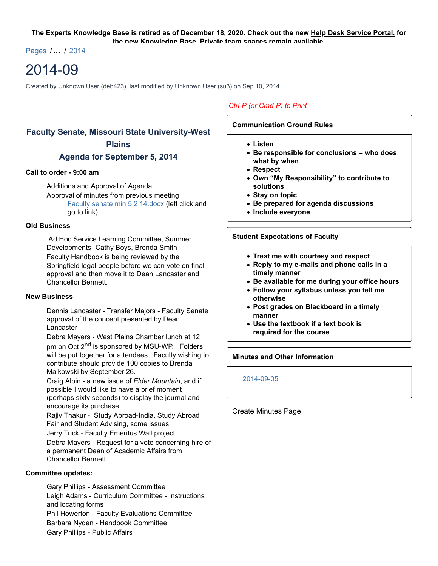#### **The Experts Knowledge Base is retired as of December 18, 2020. Check out the new Help Desk Service Portal. for the new Knowledge Base. Private team spaces remain available.**

Pages /**…** / 2014

# 2014-09

Created by Unknown User (deb423), last modified by Unknown User (su3) on Sep 10, 2014

# **Faculty Senate, Missouri State University-West Plains**

## **Agenda for September 5, 2014**

#### **Call to order - 9:00 am**

Additions and Approval of Agenda Approval of minutes from previous meeting Faculty senate min 5 2 14.docx (left click and go to link)

#### **Old Business**

 Ad Hoc Service Learning Committee, Summer Developments- Cathy Boys, Brenda Smith Faculty Handbook is being reviewed by the Springfield legal people before we can vote on final approval and then move it to Dean Lancaster and Chancellor Bennett.

#### **New Business**

Dennis Lancaster - Transfer Majors - Faculty Senate approval of the concept presented by Dean Lancaster

Debra Mayers - West Plains Chamber lunch at 12 pm on Oct 2<sup>nd</sup> is sponsored by MSU-WP. Folders will be put together for attendees. Faculty wishing to contribute should provide 100 copies to Brenda Malkowski by September 26.

Craig Albin - a new issue of *Elder Mountain*, and if possible I would like to have a brief moment (perhaps sixty seconds) to display the journal and encourage its purchase.

Rajiv Thakur - Study Abroad-India, Study Abroad Fair and Student Advising, some issues

Jerry Trick - Faculty Emeritus Wall project Debra Mayers - Request for a vote concerning hire of a permanent Dean of Academic Affairs from Chancellor Bennett

#### **Committee updates:**

Gary Phillips - Assessment Committee Leigh Adams - Curriculum Committee - Instructions and locating forms Phil Howerton - Faculty Evaluations Committee Barbara Nyden - Handbook Committee Gary Phillips - Public Affairs

### *Ctrl-P (or Cmd-P) to Print*

#### **Communication Ground Rules**

- **Listen**
- **Be responsible for conclusions who does what by when**
- **Respect**
- **Own "My Responsibility" to contribute to solutions**
- **Stay on topic**
- **Be prepared for agenda discussions**
- **Include everyone**

#### **Student Expectations of Faculty**

- **Treat me with courtesy and respect**
- **Reply to my e-mails and phone calls in a timely manner**
- **Be available for me during your office hours**
- **Follow your syllabus unless you tell me otherwise**
- **Post grades on Blackboard in a timely manner**
- **Use the textbook if a text book is required for the course**

#### **Minutes and Other Information**

#### 2014-09-05

#### Create Minutes Page